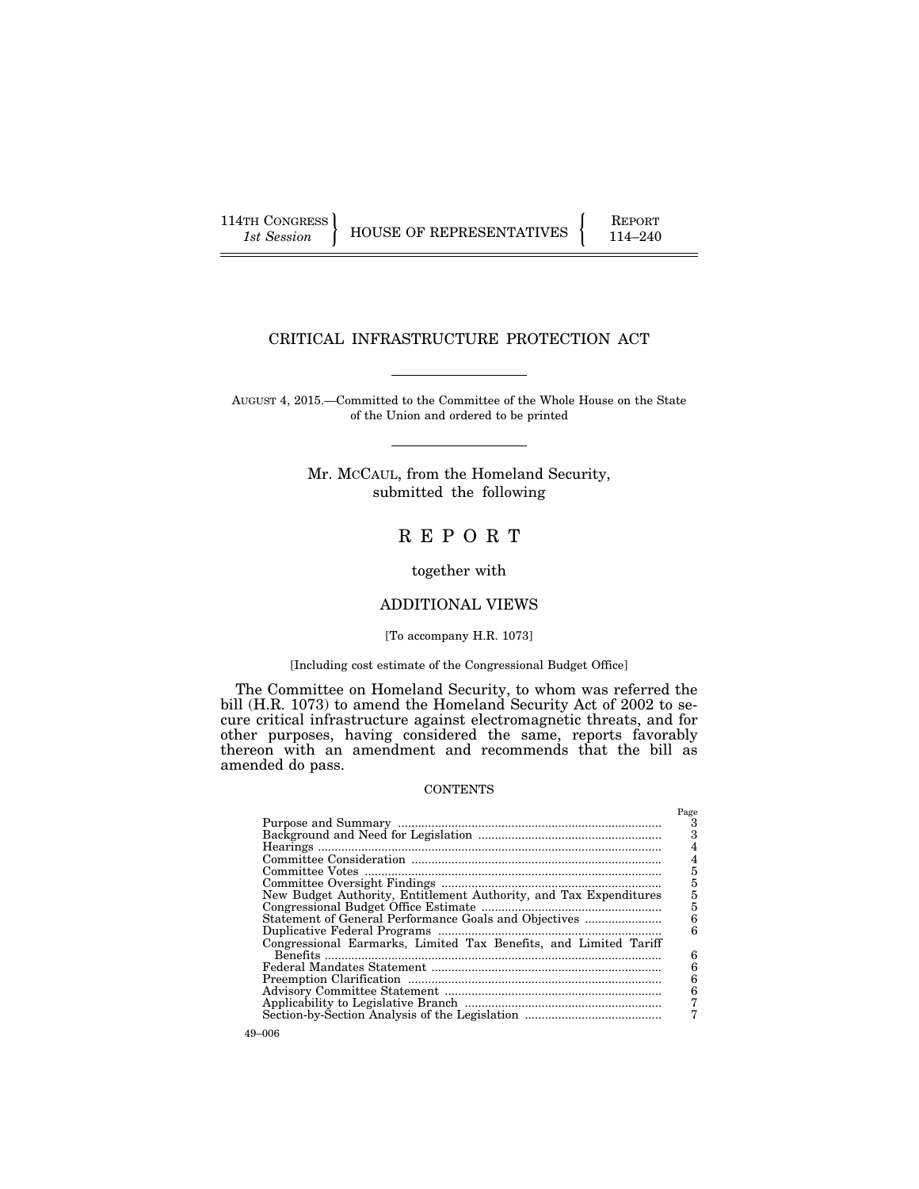114TH CONGRESS HOUSE OF REPRESENTATIVES FEPORT 114–240

# CRITICAL INFRASTRUCTURE PROTECTION ACT

AUGUST 4, 2015.—Committed to the Committee of the Whole House on the State of the Union and ordered to be printed

> Mr. MCCAUL, from the Homeland Security, submitted the following

# R E P O R T

together with

# ADDITIONAL VIEWS

# [To accompany H.R. 1073]

#### [Including cost estimate of the Congressional Budget Office]

The Committee on Homeland Security, to whom was referred the bill (H.R. 1073) to amend the Homeland Security Act of 2002 to secure critical infrastructure against electromagnetic threats, and for other purposes, having considered the same, reports favorably thereon with an amendment and recommends that the bill as amended do pass.

#### **CONTENTS**

|                                                                   | Page |
|-------------------------------------------------------------------|------|
|                                                                   | З    |
|                                                                   | 3    |
|                                                                   |      |
|                                                                   | 4    |
|                                                                   | 5    |
|                                                                   | 5    |
| New Budget Authority, Entitlement Authority, and Tax Expenditures | 5    |
|                                                                   | 5    |
| Statement of General Performance Goals and Objectives             | 6    |
|                                                                   | հ    |
| Congressional Earmarks, Limited Tax Benefits, and Limited Tariff  |      |
|                                                                   | 6    |
|                                                                   | 6    |
|                                                                   | 6    |
|                                                                   | 6    |
|                                                                   |      |
|                                                                   |      |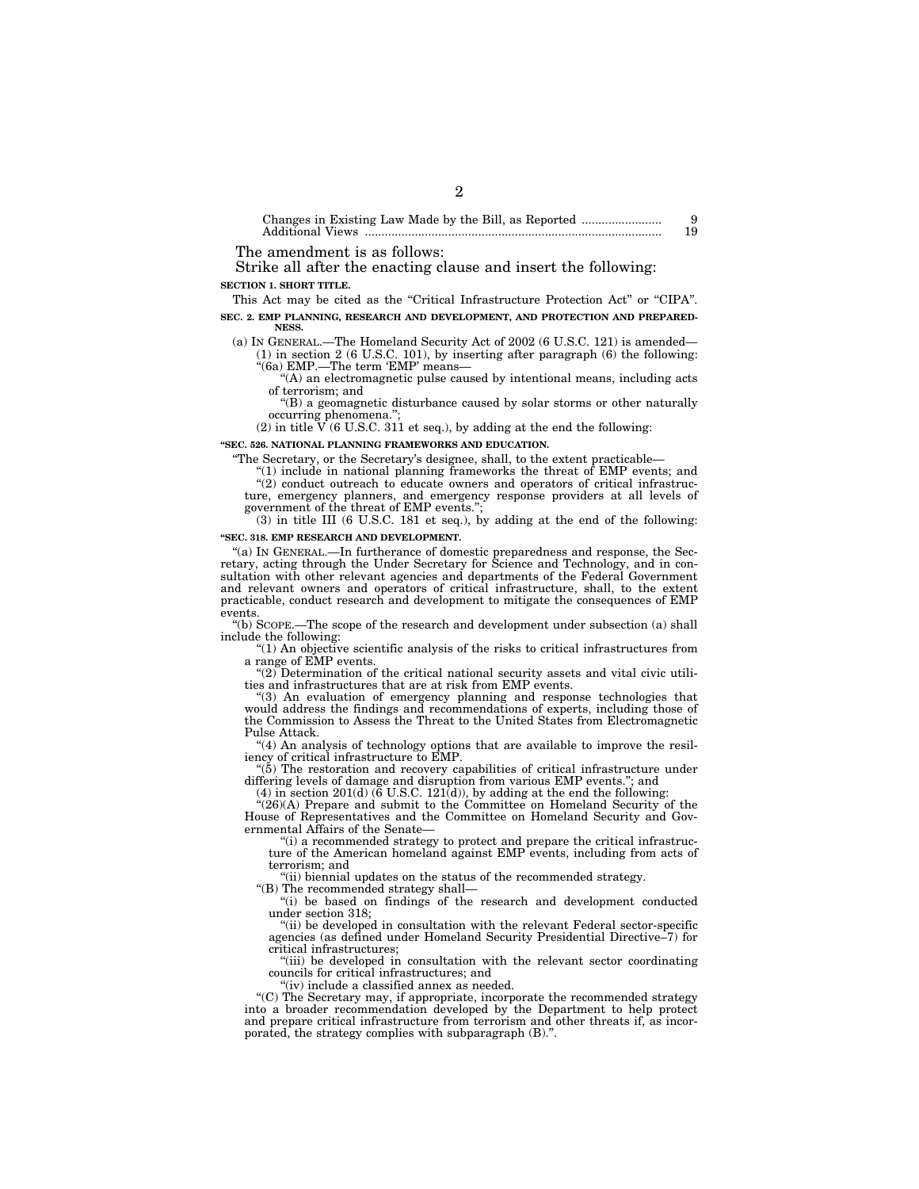Changes in Existing Law Made by the Bill, as Reported ........................ 9 Additional Views ......................................................................................... 19

The amendment is as follows:

Strike all after the enacting clause and insert the following: **SECTION 1. SHORT TITLE.** 

This Act may be cited as the "Critical Infrastructure Protection Act" or "CIPA".

2

**SEC. 2. EMP PLANNING, RESEARCH AND DEVELOPMENT, AND PROTECTION AND PREPARED-NESS.** 

(a) IN GENERAL.—The Homeland Security Act of 2002 (6 U.S.C. 121) is amended— (1) in section 2 (6 U.S.C. 101), by inserting after paragraph (6) the following: ''(6a) EMP.—The term 'EMP' means—

''(A) an electromagnetic pulse caused by intentional means, including acts of terrorism; and

''(B) a geomagnetic disturbance caused by solar storms or other naturally occurring phenomena.'';

(2) in title  $V(6 \text{ U.S.C. } 311 \text{ et seq.})$ , by adding at the end the following:

**''SEC. 526. NATIONAL PLANNING FRAMEWORKS AND EDUCATION.** 

''The Secretary, or the Secretary's designee, shall, to the extent practicable—

"(1) include in national planning frameworks the threat of EMP events; and

 $(2)$  conduct outreach to educate owners and operators of critical infrastructure, emergency planners, and emergency response providers at all levels of government of the threat of EMP events.'';

(3) in title III (6 U.S.C. 181 et seq.), by adding at the end of the following: **''SEC. 318. EMP RESEARCH AND DEVELOPMENT.** 

''(a) IN GENERAL.—In furtherance of domestic preparedness and response, the Secretary, acting through the Under Secretary for Science and Technology, and in consultation with other relevant agencies and departments of the Federal Government and relevant owners and operators of critical infrastructure, shall, to the extent practicable, conduct research and development to mitigate the consequences of EMP events.

''(b) SCOPE.—The scope of the research and development under subsection (a) shall include the following:

''(1) An objective scientific analysis of the risks to critical infrastructures from a range of EMP events.

 $''(2)$  Determination of the critical national security assets and vital civic utilities and infrastructures that are at risk from EMP events.

''(3) An evaluation of emergency planning and response technologies that would address the findings and recommendations of experts, including those of the Commission to Assess the Threat to the United States from Electromagnetic Pulse Attack.

''(4) An analysis of technology options that are available to improve the resiliency of critical infrastructure to EMP.

''(5) The restoration and recovery capabilities of critical infrastructure under differing levels of damage and disruption from various EMP events.''; and

 $(4)$  in section 201(d)  $(6 \text{ U.S.C. } 121\text{ (d)}),$  by adding at the end the following:

''(26)(A) Prepare and submit to the Committee on Homeland Security of the House of Representatives and the Committee on Homeland Security and Governmental Affairs of the Senate—

"(i) a recommended strategy to protect and prepare the critical infrastructure of the American homeland against EMP events, including from acts of terrorism; and

''(ii) biennial updates on the status of the recommended strategy.

''(B) The recommended strategy shall—

"(i) be based on findings of the research and development conducted under section 318;

''(ii) be developed in consultation with the relevant Federal sector-specific agencies (as defined under Homeland Security Presidential Directive–7) for critical infrastructures;

''(iii) be developed in consultation with the relevant sector coordinating councils for critical infrastructures; and

''(iv) include a classified annex as needed.

''(C) The Secretary may, if appropriate, incorporate the recommended strategy into a broader recommendation developed by the Department to help protect and prepare critical infrastructure from terrorism and other threats if, as incorporated, the strategy complies with subparagraph (B).''.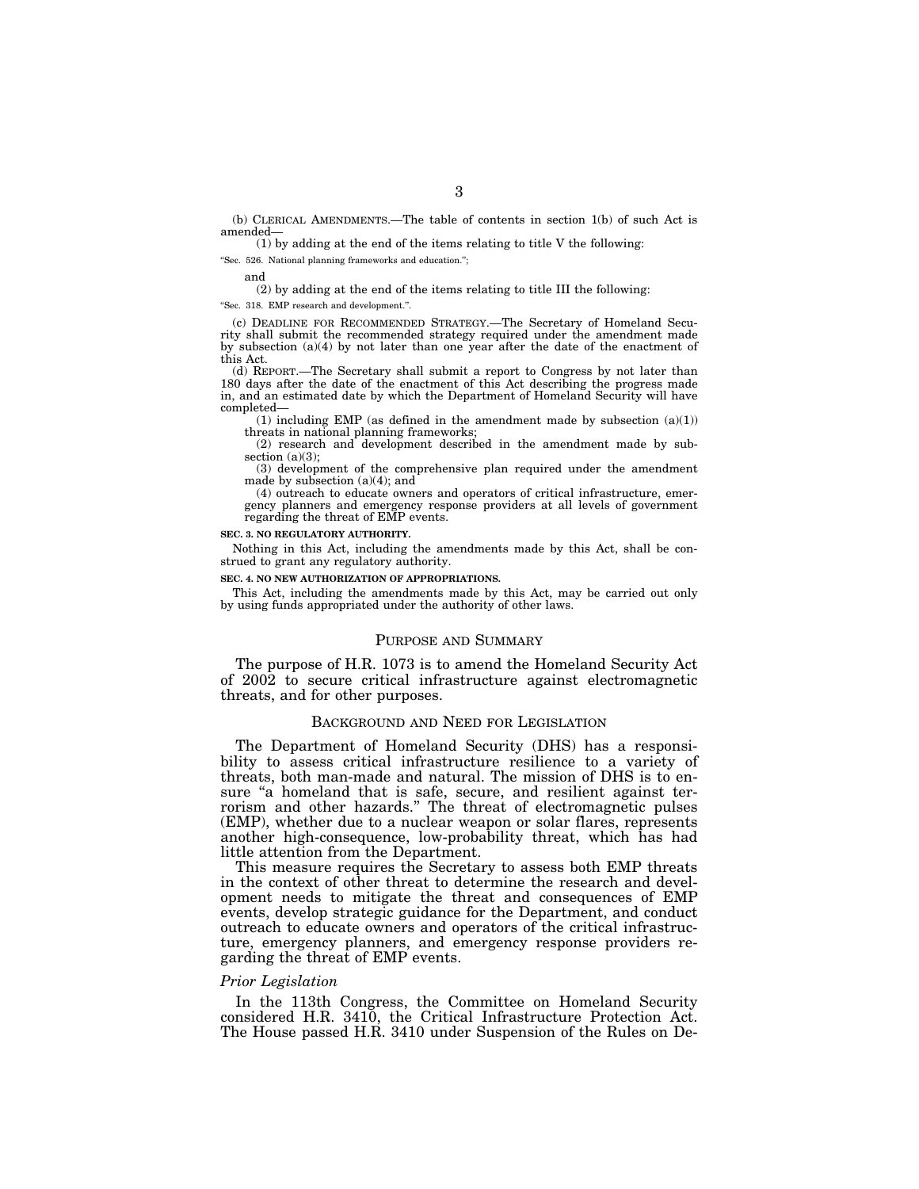(b) CLERICAL AMENDMENTS.—The table of contents in section 1(b) of such Act is amended—

(1) by adding at the end of the items relating to title V the following:

''Sec. 526. National planning frameworks and education.'';

and

(2) by adding at the end of the items relating to title III the following:

''Sec. 318. EMP research and development.''.

(c) DEADLINE FOR RECOMMENDED STRATEGY.—The Secretary of Homeland Security shall submit the recommended strategy required under the amendment made by subsection (a)(4) by not later than one year after the date of the enactment of this Act.

(d) REPORT.—The Secretary shall submit a report to Congress by not later than 180 days after the date of the enactment of this Act describing the progress made in, and an estimated date by which the Department of Homeland Security will have completed—

(1) including EMP (as defined in the amendment made by subsection  $(a)(1)$ ) threats in national planning frameworks;

(2) research and development described in the amendment made by subsection  $(a)(3)$ :

(3) development of the comprehensive plan required under the amendment made by subsection (a)(4); and

(4) outreach to educate owners and operators of critical infrastructure, emergency planners and emergency response providers at all levels of government regarding the threat of EMP events.

#### **SEC. 3. NO REGULATORY AUTHORITY.**

Nothing in this Act, including the amendments made by this Act, shall be construed to grant any regulatory authority.

#### **SEC. 4. NO NEW AUTHORIZATION OF APPROPRIATIONS.**

This Act, including the amendments made by this Act, may be carried out only by using funds appropriated under the authority of other laws.

#### PURPOSE AND SUMMARY

The purpose of H.R. 1073 is to amend the Homeland Security Act of 2002 to secure critical infrastructure against electromagnetic threats, and for other purposes.

#### BACKGROUND AND NEED FOR LEGISLATION

The Department of Homeland Security (DHS) has a responsibility to assess critical infrastructure resilience to a variety of threats, both man-made and natural. The mission of DHS is to ensure "a homeland that is safe, secure, and resilient against terrorism and other hazards.'' The threat of electromagnetic pulses (EMP), whether due to a nuclear weapon or solar flares, represents another high-consequence, low-probability threat, which has had little attention from the Department.

This measure requires the Secretary to assess both EMP threats in the context of other threat to determine the research and development needs to mitigate the threat and consequences of EMP events, develop strategic guidance for the Department, and conduct outreach to educate owners and operators of the critical infrastructure, emergency planners, and emergency response providers regarding the threat of EMP events.

#### *Prior Legislation*

In the 113th Congress, the Committee on Homeland Security considered H.R. 3410, the Critical Infrastructure Protection Act. The House passed H.R. 3410 under Suspension of the Rules on De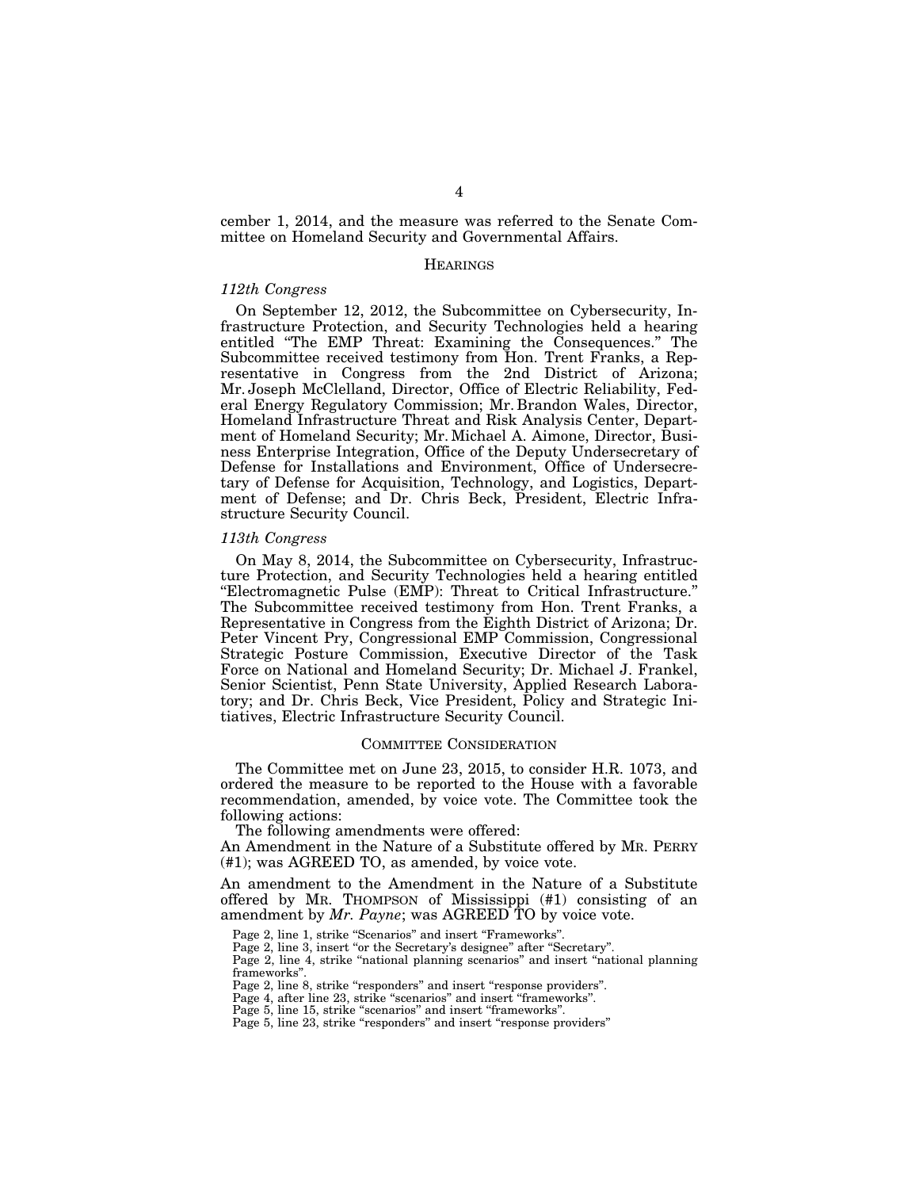cember 1, 2014, and the measure was referred to the Senate Committee on Homeland Security and Governmental Affairs.

## **HEARINGS**

#### *112th Congress*

On September 12, 2012, the Subcommittee on Cybersecurity, Infrastructure Protection, and Security Technologies held a hearing entitled ''The EMP Threat: Examining the Consequences.'' The Subcommittee received testimony from Hon. Trent Franks, a Representative in Congress from the 2nd District of Arizona; Mr. Joseph McClelland, Director, Office of Electric Reliability, Federal Energy Regulatory Commission; Mr. Brandon Wales, Director, Homeland Infrastructure Threat and Risk Analysis Center, Department of Homeland Security; Mr. Michael A. Aimone, Director, Business Enterprise Integration, Office of the Deputy Undersecretary of Defense for Installations and Environment, Office of Undersecretary of Defense for Acquisition, Technology, and Logistics, Department of Defense; and Dr. Chris Beck, President, Electric Infrastructure Security Council.

#### *113th Congress*

On May 8, 2014, the Subcommittee on Cybersecurity, Infrastructure Protection, and Security Technologies held a hearing entitled ''Electromagnetic Pulse (EMP): Threat to Critical Infrastructure.'' The Subcommittee received testimony from Hon. Trent Franks, a Representative in Congress from the Eighth District of Arizona; Dr. Peter Vincent Pry, Congressional EMP Commission, Congressional Strategic Posture Commission, Executive Director of the Task Force on National and Homeland Security; Dr. Michael J. Frankel, Senior Scientist, Penn State University, Applied Research Laboratory; and Dr. Chris Beck, Vice President, Policy and Strategic Initiatives, Electric Infrastructure Security Council.

#### COMMITTEE CONSIDERATION

The Committee met on June 23, 2015, to consider H.R. 1073, and ordered the measure to be reported to the House with a favorable recommendation, amended, by voice vote. The Committee took the following actions:

The following amendments were offered:

An Amendment in the Nature of a Substitute offered by MR. PERRY (#1); was AGREED TO, as amended, by voice vote.

An amendment to the Amendment in the Nature of a Substitute offered by MR. THOMPSON of Mississippi (#1) consisting of an amendment by *Mr. Payne*; was AGREED TO by voice vote.

Page 2, line 4, strike "national planning scenarios" and insert "national planning frameworks''.

Page 2, line 8, strike "responders" and insert "response providers".

Page 4, after line 23, strike "scenarios" and insert "frameworks".

Page 5, line 15, strike "scenarios" and insert "frameworks".

Page 5, line 23, strike "responders" and insert "response providers"

Page 2, line 1, strike "Scenarios" and insert "Frameworks".

Page 2, line 3, insert "or the Secretary's designee" after "Secretary".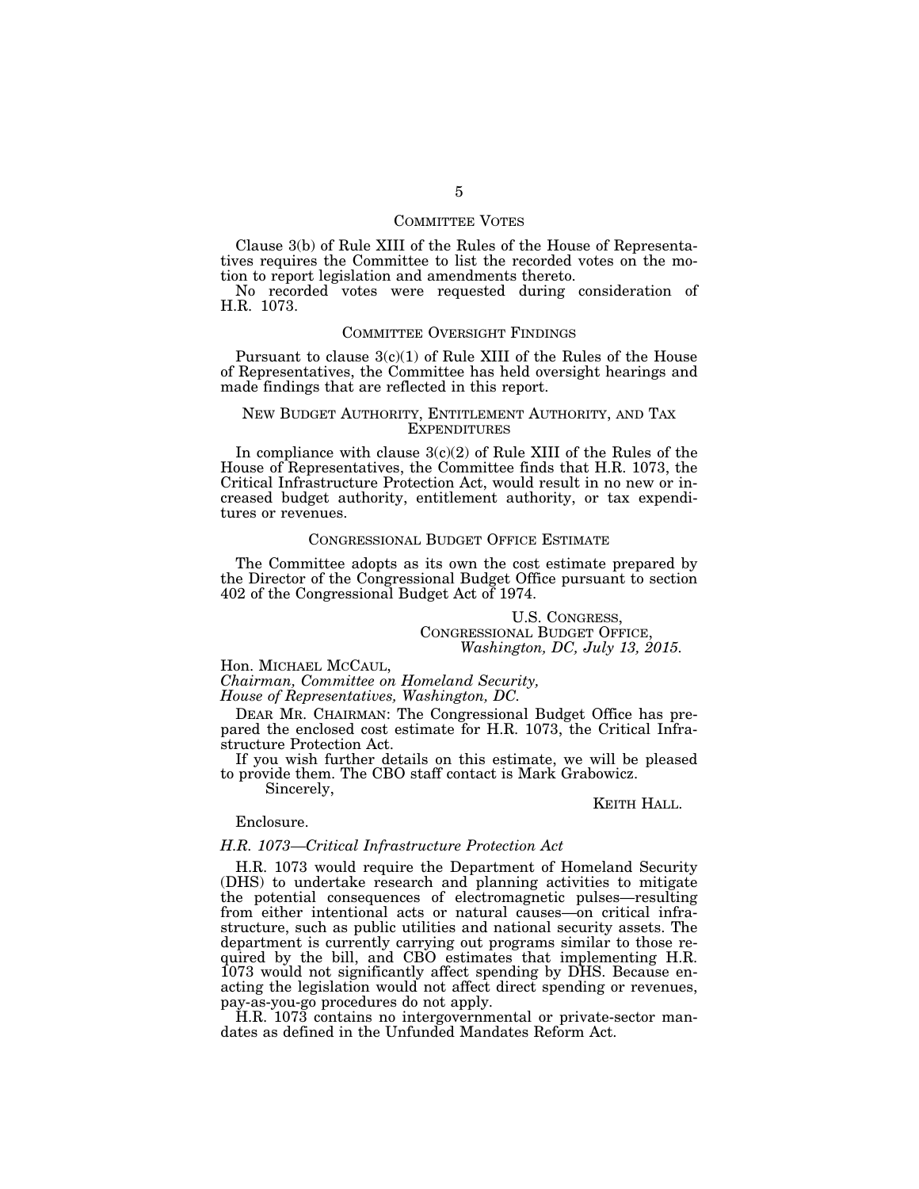#### COMMITTEE VOTES

Clause 3(b) of Rule XIII of the Rules of the House of Representatives requires the Committee to list the recorded votes on the motion to report legislation and amendments thereto.

No recorded votes were requested during consideration of H.R. 1073.

#### COMMITTEE OVERSIGHT FINDINGS

Pursuant to clause  $3(c)(1)$  of Rule XIII of the Rules of the House of Representatives, the Committee has held oversight hearings and made findings that are reflected in this report.

#### NEW BUDGET AUTHORITY, ENTITLEMENT AUTHORITY, AND TAX **EXPENDITURES**

In compliance with clause  $3(c)(2)$  of Rule XIII of the Rules of the House of Representatives, the Committee finds that H.R. 1073, the Critical Infrastructure Protection Act, would result in no new or increased budget authority, entitlement authority, or tax expenditures or revenues.

#### CONGRESSIONAL BUDGET OFFICE ESTIMATE

The Committee adopts as its own the cost estimate prepared by the Director of the Congressional Budget Office pursuant to section 402 of the Congressional Budget Act of 1974.

> U.S. CONGRESS, CONGRESSIONAL BUDGET OFFICE, *Washington, DC, July 13, 2015.*

Hon. MICHAEL MCCAUL,

*Chairman, Committee on Homeland Security, House of Representatives, Washington, DC.* 

DEAR MR. CHAIRMAN: The Congressional Budget Office has prepared the enclosed cost estimate for H.R. 1073, the Critical Infrastructure Protection Act.

If you wish further details on this estimate, we will be pleased to provide them. The CBO staff contact is Mark Grabowicz.

Sincerely,

#### KEITH HALL.

#### Enclosure.

#### *H.R. 1073—Critical Infrastructure Protection Act*

H.R. 1073 would require the Department of Homeland Security (DHS) to undertake research and planning activities to mitigate the potential consequences of electromagnetic pulses—resulting from either intentional acts or natural causes—on critical infrastructure, such as public utilities and national security assets. The department is currently carrying out programs similar to those required by the bill, and CBO estimates that implementing H.R. 1073 would not significantly affect spending by DHS. Because enacting the legislation would not affect direct spending or revenues, pay-as-you-go procedures do not apply.

H.R. 1073 contains no intergovernmental or private-sector mandates as defined in the Unfunded Mandates Reform Act.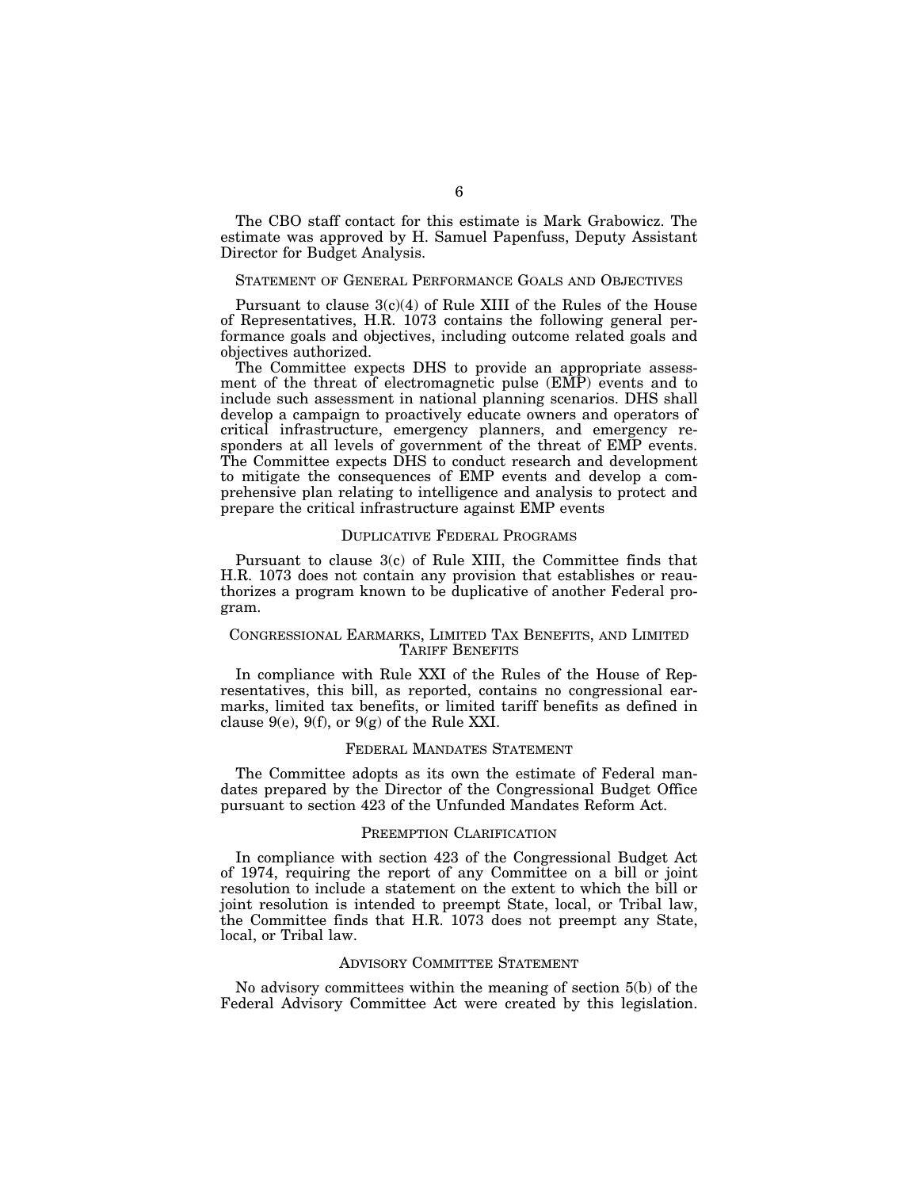The CBO staff contact for this estimate is Mark Grabowicz. The estimate was approved by H. Samuel Papenfuss, Deputy Assistant Director for Budget Analysis.

#### STATEMENT OF GENERAL PERFORMANCE GOALS AND OBJECTIVES

Pursuant to clause  $3(c)(4)$  of Rule XIII of the Rules of the House of Representatives, H.R. 1073 contains the following general performance goals and objectives, including outcome related goals and objectives authorized.

The Committee expects DHS to provide an appropriate assessment of the threat of electromagnetic pulse (EMP) events and to include such assessment in national planning scenarios. DHS shall develop a campaign to proactively educate owners and operators of critical infrastructure, emergency planners, and emergency responders at all levels of government of the threat of EMP events. The Committee expects DHS to conduct research and development to mitigate the consequences of EMP events and develop a comprehensive plan relating to intelligence and analysis to protect and prepare the critical infrastructure against EMP events

## DUPLICATIVE FEDERAL PROGRAMS

Pursuant to clause 3(c) of Rule XIII, the Committee finds that H.R. 1073 does not contain any provision that establishes or reauthorizes a program known to be duplicative of another Federal program.

## CONGRESSIONAL EARMARKS, LIMITED TAX BENEFITS, AND LIMITED TARIFF BENEFITS

In compliance with Rule XXI of the Rules of the House of Representatives, this bill, as reported, contains no congressional earmarks, limited tax benefits, or limited tariff benefits as defined in clause  $9(e)$ ,  $9(f)$ , or  $9(g)$  of the Rule XXI.

#### FEDERAL MANDATES STATEMENT

The Committee adopts as its own the estimate of Federal mandates prepared by the Director of the Congressional Budget Office pursuant to section 423 of the Unfunded Mandates Reform Act.

#### PREEMPTION CLARIFICATION

In compliance with section 423 of the Congressional Budget Act of 1974, requiring the report of any Committee on a bill or joint resolution to include a statement on the extent to which the bill or joint resolution is intended to preempt State, local, or Tribal law, the Committee finds that H.R. 1073 does not preempt any State, local, or Tribal law.

#### ADVISORY COMMITTEE STATEMENT

No advisory committees within the meaning of section 5(b) of the Federal Advisory Committee Act were created by this legislation.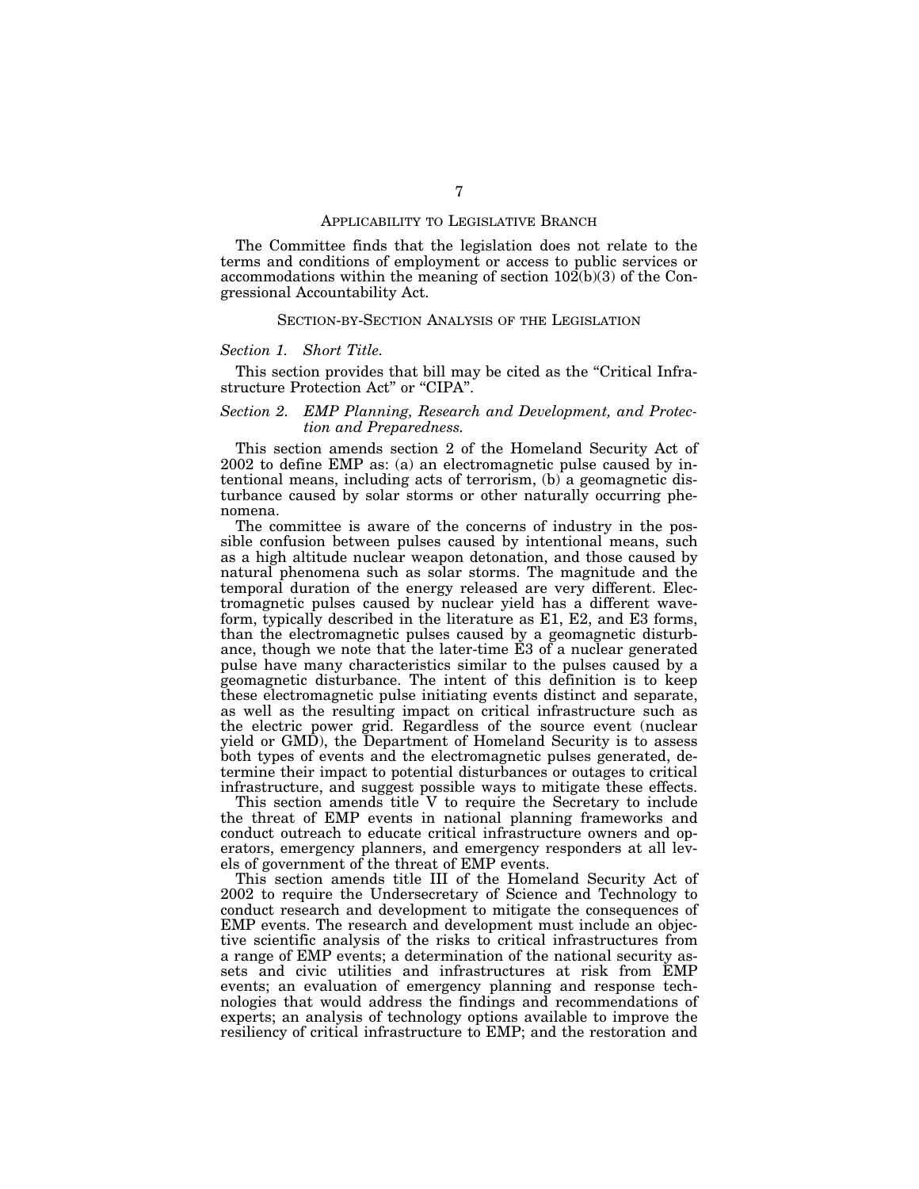#### APPLICABILITY TO LEGISLATIVE BRANCH

The Committee finds that the legislation does not relate to the terms and conditions of employment or access to public services or accommodations within the meaning of section 102(b)(3) of the Congressional Accountability Act.

#### SECTION-BY-SECTION ANALYSIS OF THE LEGISLATION

#### *Section 1. Short Title.*

This section provides that bill may be cited as the "Critical Infrastructure Protection Act'' or ''CIPA''.

## *Section 2. EMP Planning, Research and Development, and Protection and Preparedness.*

This section amends section 2 of the Homeland Security Act of 2002 to define EMP as: (a) an electromagnetic pulse caused by intentional means, including acts of terrorism, (b) a geomagnetic disturbance caused by solar storms or other naturally occurring phenomena.

The committee is aware of the concerns of industry in the possible confusion between pulses caused by intentional means, such as a high altitude nuclear weapon detonation, and those caused by natural phenomena such as solar storms. The magnitude and the temporal duration of the energy released are very different. Electromagnetic pulses caused by nuclear yield has a different waveform, typically described in the literature as E1, E2, and E3 forms, than the electromagnetic pulses caused by a geomagnetic disturbance, though we note that the later-time E3 of a nuclear generated pulse have many characteristics similar to the pulses caused by a geomagnetic disturbance. The intent of this definition is to keep these electromagnetic pulse initiating events distinct and separate, as well as the resulting impact on critical infrastructure such as the electric power grid. Regardless of the source event (nuclear yield or GMD), the Department of Homeland Security is to assess both types of events and the electromagnetic pulses generated, determine their impact to potential disturbances or outages to critical infrastructure, and suggest possible ways to mitigate these effects.

This section amends title V to require the Secretary to include the threat of EMP events in national planning frameworks and conduct outreach to educate critical infrastructure owners and operators, emergency planners, and emergency responders at all levels of government of the threat of EMP events.

This section amends title III of the Homeland Security Act of 2002 to require the Undersecretary of Science and Technology to conduct research and development to mitigate the consequences of EMP events. The research and development must include an objective scientific analysis of the risks to critical infrastructures from a range of EMP events; a determination of the national security assets and civic utilities and infrastructures at risk from EMP events; an evaluation of emergency planning and response technologies that would address the findings and recommendations of experts; an analysis of technology options available to improve the resiliency of critical infrastructure to EMP; and the restoration and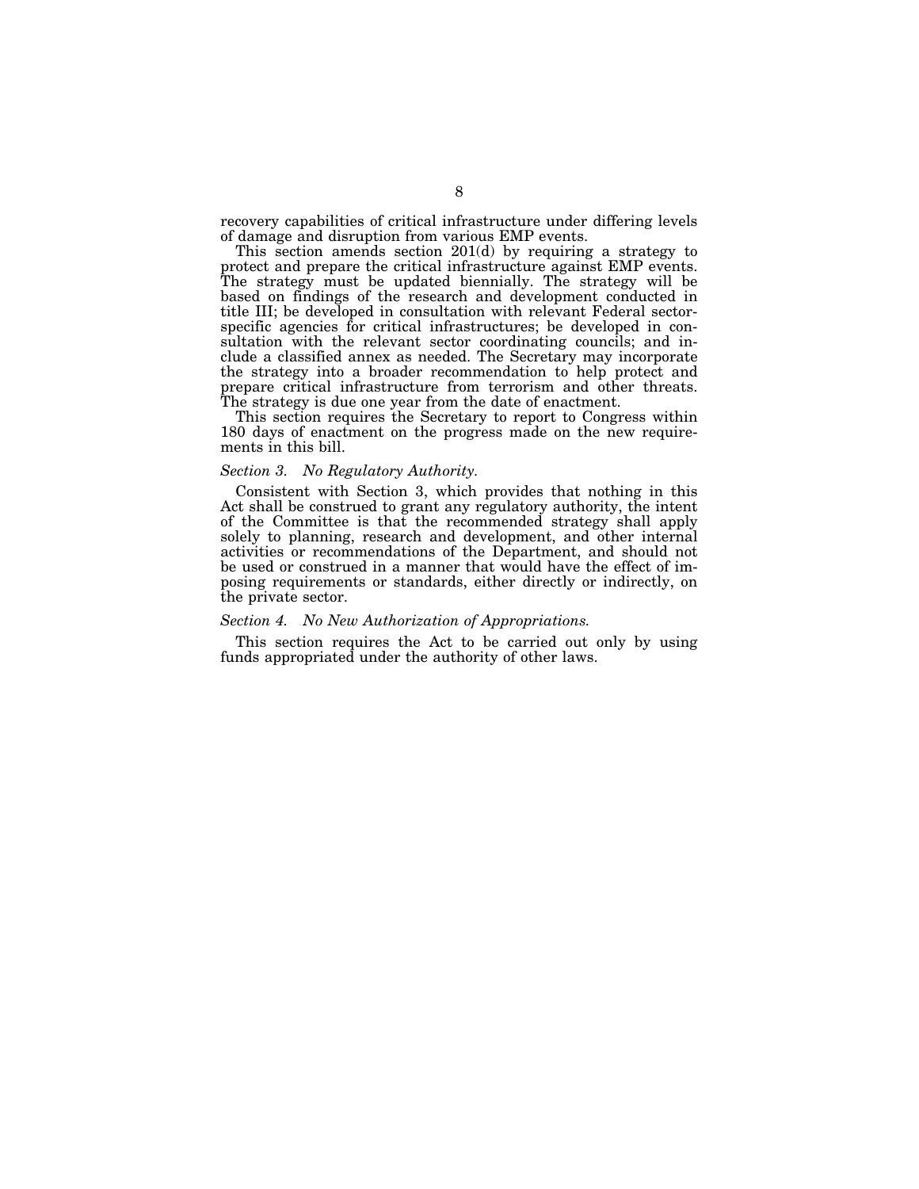recovery capabilities of critical infrastructure under differing levels of damage and disruption from various EMP events.

This section amends section 201(d) by requiring a strategy to protect and prepare the critical infrastructure against EMP events. The strategy must be updated biennially. The strategy will be based on findings of the research and development conducted in title III; be developed in consultation with relevant Federal sectorspecific agencies for critical infrastructures; be developed in consultation with the relevant sector coordinating councils; and include a classified annex as needed. The Secretary may incorporate the strategy into a broader recommendation to help protect and prepare critical infrastructure from terrorism and other threats. The strategy is due one year from the date of enactment.

This section requires the Secretary to report to Congress within 180 days of enactment on the progress made on the new requirements in this bill.

## *Section 3. No Regulatory Authority.*

Consistent with Section 3, which provides that nothing in this Act shall be construed to grant any regulatory authority, the intent of the Committee is that the recommended strategy shall apply solely to planning, research and development, and other internal activities or recommendations of the Department, and should not be used or construed in a manner that would have the effect of imposing requirements or standards, either directly or indirectly, on the private sector.

#### *Section 4. No New Authorization of Appropriations.*

This section requires the Act to be carried out only by using funds appropriated under the authority of other laws.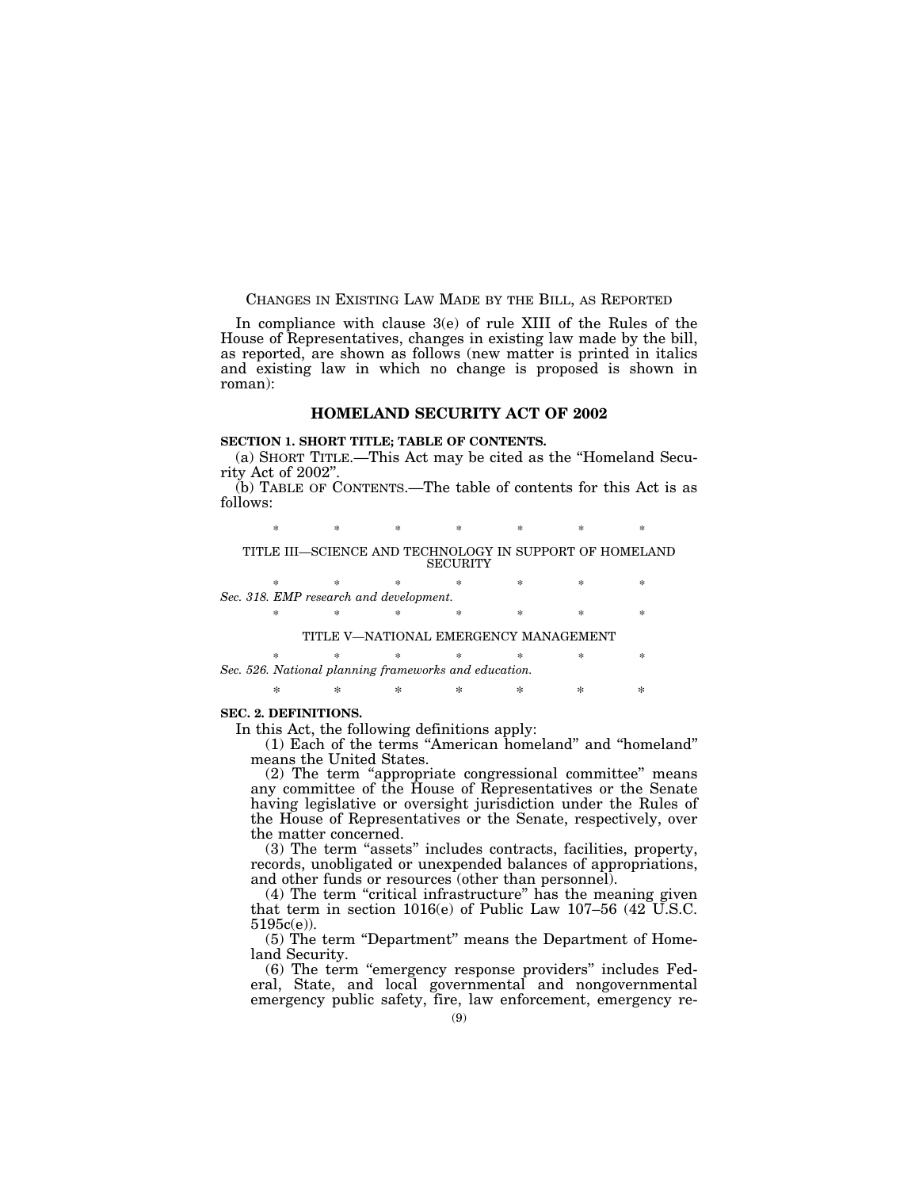#### CHANGES IN EXISTING LAW MADE BY THE BILL, AS REPORTED

In compliance with clause 3(e) of rule XIII of the Rules of the House of Representatives, changes in existing law made by the bill, as reported, are shown as follows (new matter is printed in italics and existing law in which no change is proposed is shown in roman):

# **HOMELAND SECURITY ACT OF 2002**

# **SECTION 1. SHORT TITLE; TABLE OF CONTENTS.**

(a) SHORT TITLE.—This Act may be cited as the ''Homeland Security Act of 2002''.

(b) TABLE OF CONTENTS.—The table of contents for this Act is as follows:

\* \* \* \* \* \* \* \*

#### TITLE III—SCIENCE AND TECHNOLOGY IN SUPPORT OF HOMELAND SECURITY

\* \* \* \* \* \* \* \* *Sec. 318. EMP research and development.*  \* \* \* \* \* \* \*

## TITLE V—NATIONAL EMERGENCY MANAGEMENT

\* \* \* \* \* \* \* *Sec. 526. National planning frameworks and education.* 

\* \* \* \* \* \* \*

#### **SEC. 2. DEFINITIONS.**

In this Act, the following definitions apply:

(1) Each of the terms ''American homeland'' and ''homeland'' means the United States.

(2) The term ''appropriate congressional committee'' means any committee of the House of Representatives or the Senate having legislative or oversight jurisdiction under the Rules of the House of Representatives or the Senate, respectively, over the matter concerned.

(3) The term ''assets'' includes contracts, facilities, property, records, unobligated or unexpended balances of appropriations, and other funds or resources (other than personnel).

(4) The term ''critical infrastructure'' has the meaning given that term in section 1016(e) of Public Law 107–56 (42  $\check{U}$ .S.C. 5195c(e)).

(5) The term "Department" means the Department of Homeland Security.

(6) The term ''emergency response providers'' includes Federal, State, and local governmental and nongovernmental emergency public safety, fire, law enforcement, emergency re-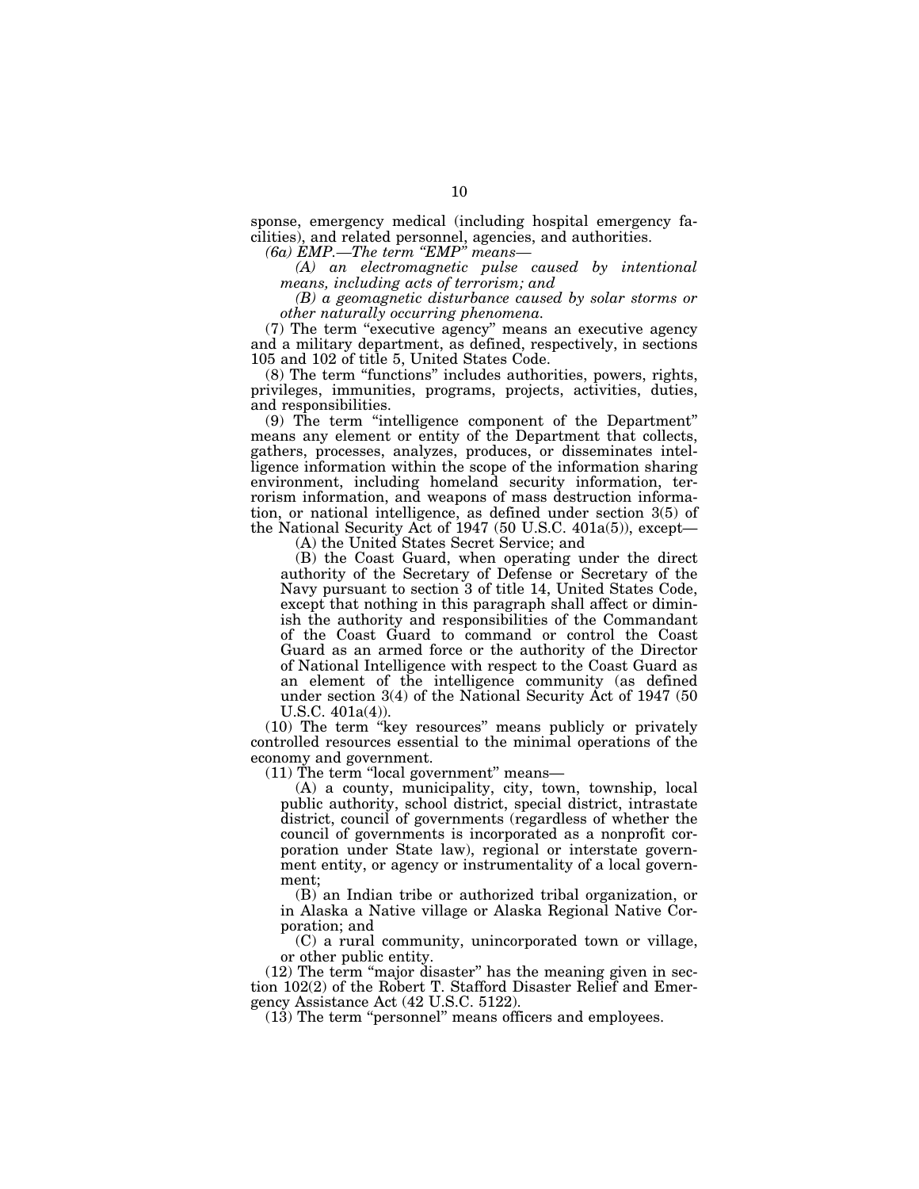sponse, emergency medical (including hospital emergency facilities), and related personnel, agencies, and authorities.

*(6a) EMP.—The term ''EMP'' means—* 

*(A) an electromagnetic pulse caused by intentional means, including acts of terrorism; and* 

*(B) a geomagnetic disturbance caused by solar storms or other naturally occurring phenomena.* 

(7) The term ''executive agency'' means an executive agency and a military department, as defined, respectively, in sections 105 and 102 of title 5, United States Code.

(8) The term ''functions'' includes authorities, powers, rights, privileges, immunities, programs, projects, activities, duties, and responsibilities.

(9) The term ''intelligence component of the Department'' means any element or entity of the Department that collects, gathers, processes, analyzes, produces, or disseminates intelligence information within the scope of the information sharing environment, including homeland security information, terrorism information, and weapons of mass destruction information, or national intelligence, as defined under section 3(5) of the National Security Act of 1947 (50 U.S.C. 401a(5)), except—

(A) the United States Secret Service; and

(B) the Coast Guard, when operating under the direct authority of the Secretary of Defense or Secretary of the Navy pursuant to section 3 of title 14, United States Code, except that nothing in this paragraph shall affect or diminish the authority and responsibilities of the Commandant of the Coast Guard to command or control the Coast Guard as an armed force or the authority of the Director of National Intelligence with respect to the Coast Guard as an element of the intelligence community (as defined under section 3(4) of the National Security Act of 1947 (50 U.S.C. 401a(4)).

(10) The term ''key resources'' means publicly or privately controlled resources essential to the minimal operations of the economy and government.

 $(11)$  The term "local government" means—

(A) a county, municipality, city, town, township, local public authority, school district, special district, intrastate district, council of governments (regardless of whether the council of governments is incorporated as a nonprofit corporation under State law), regional or interstate government entity, or agency or instrumentality of a local government;

(B) an Indian tribe or authorized tribal organization, or in Alaska a Native village or Alaska Regional Native Corporation; and

(C) a rural community, unincorporated town or village, or other public entity.

(12) The term ''major disaster'' has the meaning given in section 102(2) of the Robert T. Stafford Disaster Relief and Emergency Assistance Act (42 U.S.C. 5122).

(13) The term ''personnel'' means officers and employees.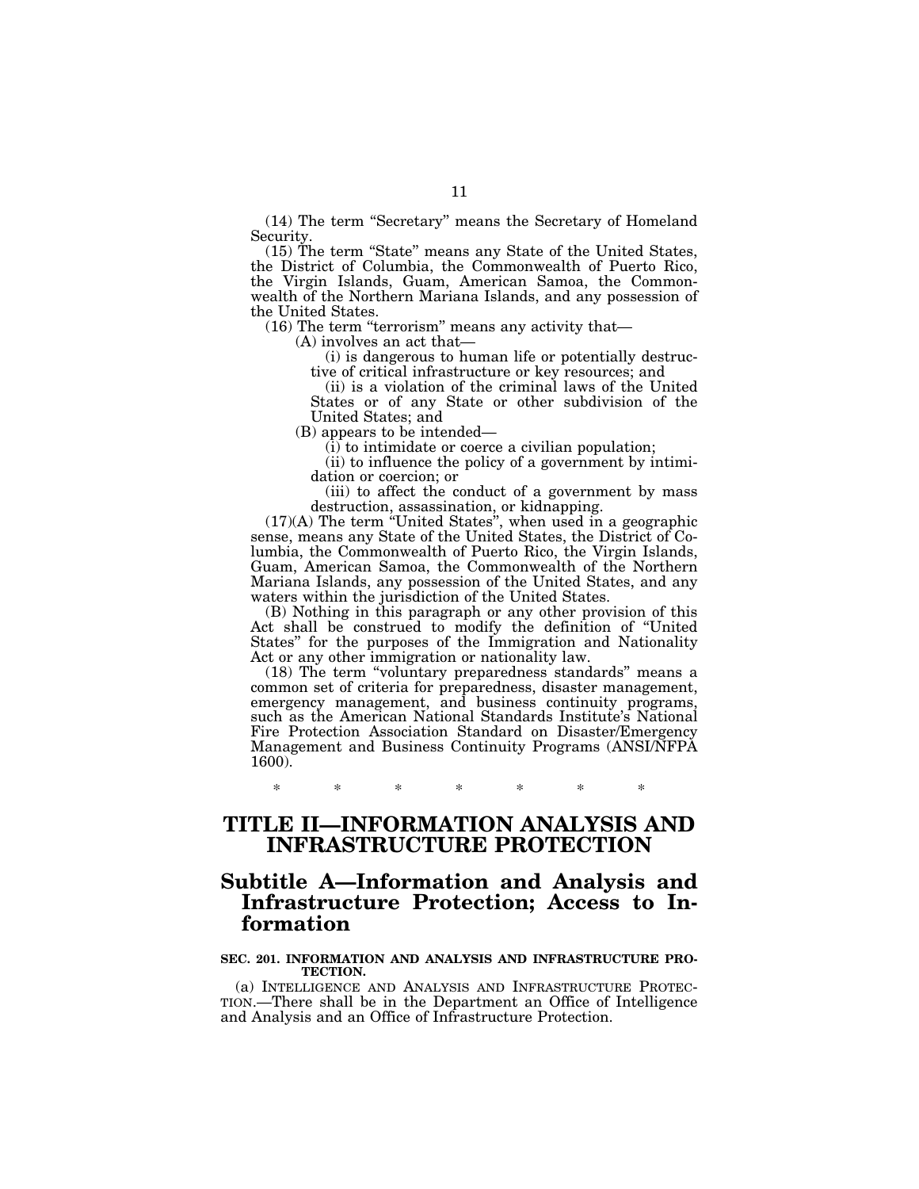(14) The term ''Secretary'' means the Secretary of Homeland Security.

(15) The term ''State'' means any State of the United States, the District of Columbia, the Commonwealth of Puerto Rico, the Virgin Islands, Guam, American Samoa, the Commonwealth of the Northern Mariana Islands, and any possession of the United States.

 $(16)$  The term "terrorism" means any activity that—

(A) involves an act that—

(i) is dangerous to human life or potentially destructive of critical infrastructure or key resources; and

(ii) is a violation of the criminal laws of the United States or of any State or other subdivision of the United States; and

(B) appears to be intended—

 $(i)$  to intimidate or coerce a civilian population;

(ii) to influence the policy of a government by intimidation or coercion; or

(iii) to affect the conduct of a government by mass destruction, assassination, or kidnapping.

(17)(A) The term ''United States'', when used in a geographic sense, means any State of the United States, the District of Columbia, the Commonwealth of Puerto Rico, the Virgin Islands, Guam, American Samoa, the Commonwealth of the Northern Mariana Islands, any possession of the United States, and any waters within the jurisdiction of the United States.

(B) Nothing in this paragraph or any other provision of this Act shall be construed to modify the definition of ''United States'' for the purposes of the Immigration and Nationality Act or any other immigration or nationality law.

(18) The term ''voluntary preparedness standards'' means a common set of criteria for preparedness, disaster management, emergency management, and business continuity programs, such as the American National Standards Institute's National Fire Protection Association Standard on Disaster/Emergency Management and Business Continuity Programs (ANSI/NFPA 1600).

\* \* \* \* \* \* \*

# **TITLE II—INFORMATION ANALYSIS AND INFRASTRUCTURE PROTECTION**

# **Subtitle A—Information and Analysis and Infrastructure Protection; Access to Information**

#### **SEC. 201. INFORMATION AND ANALYSIS AND INFRASTRUCTURE PRO-TECTION.**

(a) INTELLIGENCE AND ANALYSIS AND INFRASTRUCTURE PROTEC-TION.—There shall be in the Department an Office of Intelligence and Analysis and an Office of Infrastructure Protection.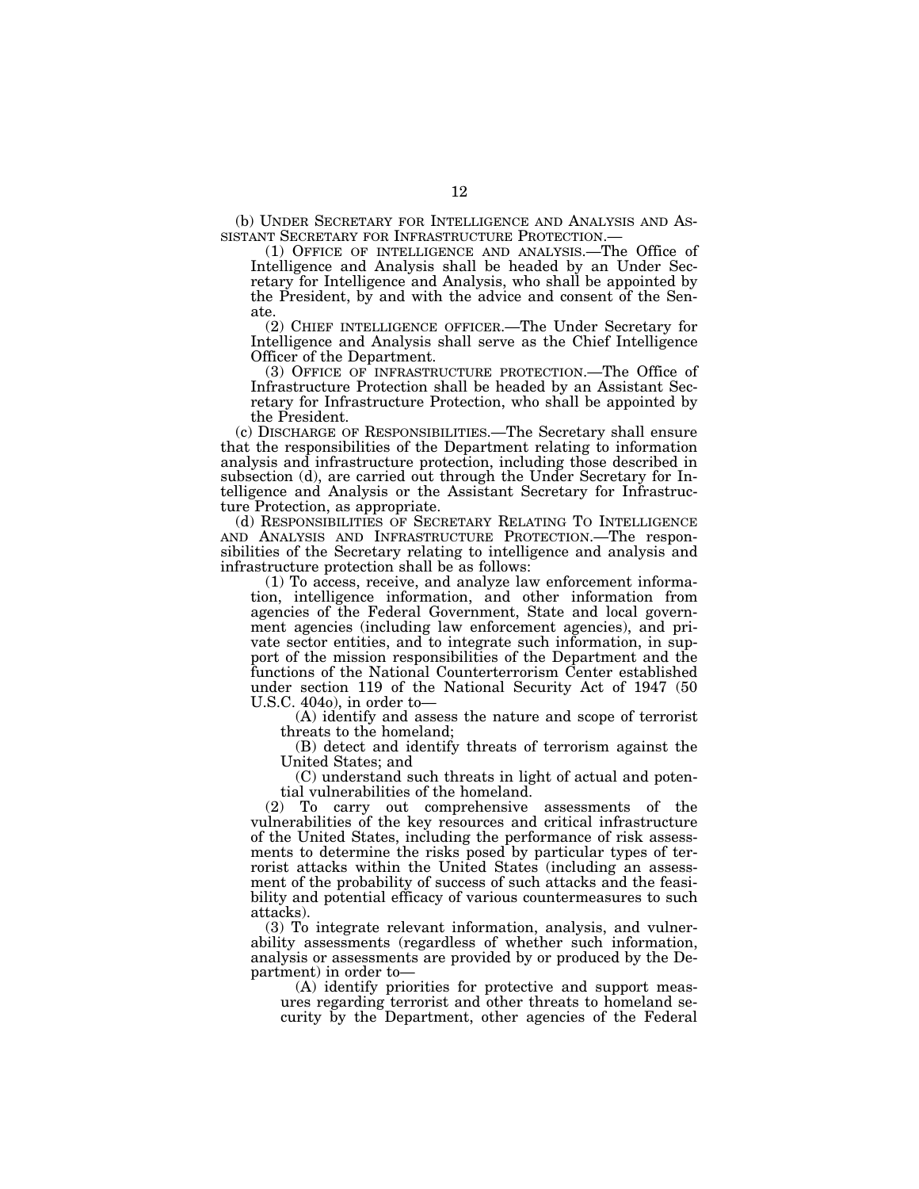(b) UNDER SECRETARY FOR INTELLIGENCE AND ANALYSIS AND ASSISTANT SECRETARY FOR INFRASTRUCTURE PROTECTION.—

(1) OFFICE OF INTELLIGENCE AND ANALYSIS.—The Office of Intelligence and Analysis shall be headed by an Under Secretary for Intelligence and Analysis, who shall be appointed by the President, by and with the advice and consent of the Senate.

(2) CHIEF INTELLIGENCE OFFICER.—The Under Secretary for Intelligence and Analysis shall serve as the Chief Intelligence Officer of the Department.

(3) OFFICE OF INFRASTRUCTURE PROTECTION.—The Office of Infrastructure Protection shall be headed by an Assistant Secretary for Infrastructure Protection, who shall be appointed by the President.

(c) DISCHARGE OF RESPONSIBILITIES.—The Secretary shall ensure that the responsibilities of the Department relating to information analysis and infrastructure protection, including those described in subsection (d), are carried out through the Under Secretary for Intelligence and Analysis or the Assistant Secretary for Infrastructure Protection, as appropriate.

(d) RESPONSIBILITIES OF SECRETARY RELATING TO INTELLIGENCE AND ANALYSIS AND INFRASTRUCTURE PROTECTION.—The responsibilities of the Secretary relating to intelligence and analysis and infrastructure protection shall be as follows:

(1) To access, receive, and analyze law enforcement information, intelligence information, and other information from agencies of the Federal Government, State and local government agencies (including law enforcement agencies), and private sector entities, and to integrate such information, in support of the mission responsibilities of the Department and the functions of the National Counterterrorism Center established under section 119 of the National Security Act of 1947 (50 U.S.C. 404o), in order to—

(A) identify and assess the nature and scope of terrorist threats to the homeland;

(B) detect and identify threats of terrorism against the United States; and

(C) understand such threats in light of actual and potential vulnerabilities of the homeland.

(2) To carry out comprehensive assessments of the vulnerabilities of the key resources and critical infrastructure of the United States, including the performance of risk assessments to determine the risks posed by particular types of terrorist attacks within the United States (including an assessment of the probability of success of such attacks and the feasibility and potential efficacy of various countermeasures to such attacks).

(3) To integrate relevant information, analysis, and vulnerability assessments (regardless of whether such information, analysis or assessments are provided by or produced by the Department) in order to—

(A) identify priorities for protective and support measures regarding terrorist and other threats to homeland security by the Department, other agencies of the Federal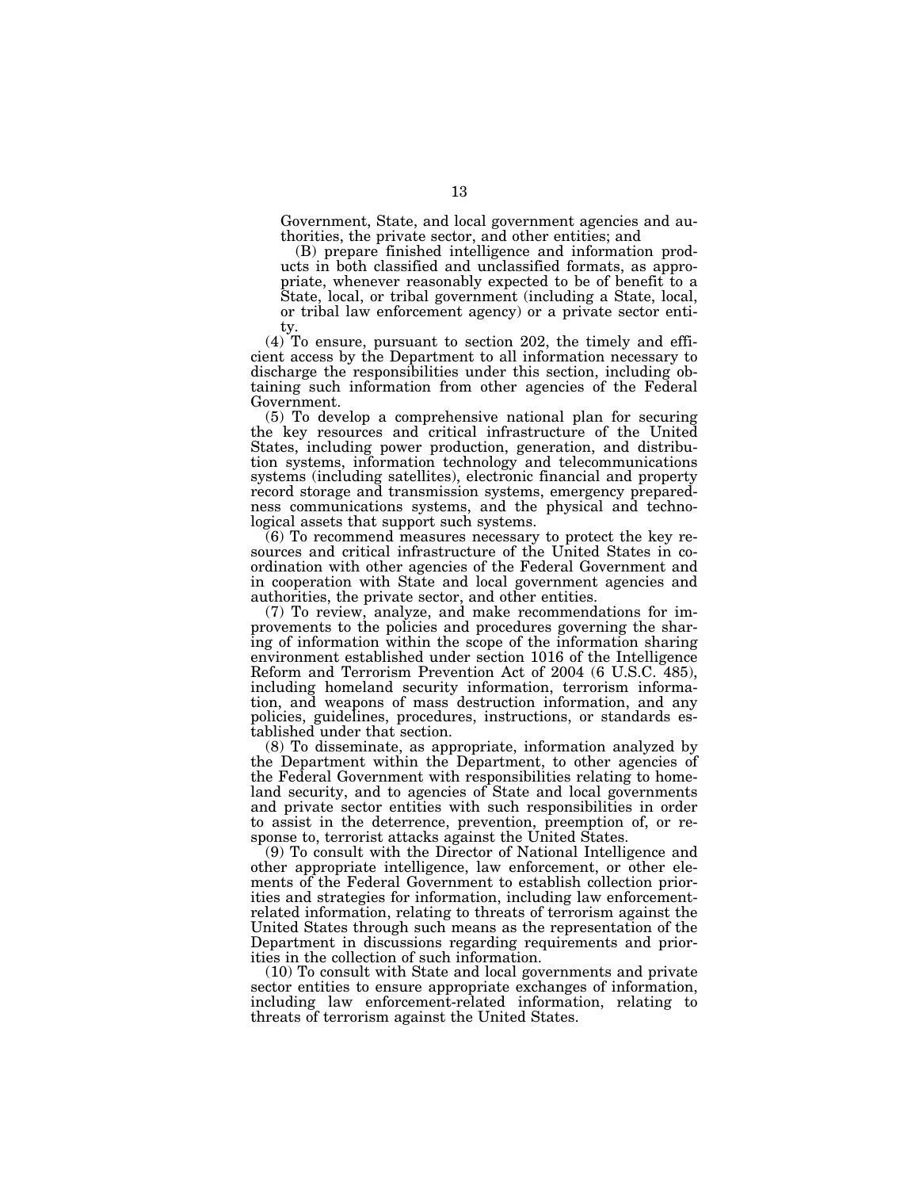Government, State, and local government agencies and authorities, the private sector, and other entities; and

(B) prepare finished intelligence and information products in both classified and unclassified formats, as appropriate, whenever reasonably expected to be of benefit to a State, local, or tribal government (including a State, local, or tribal law enforcement agency) or a private sector entity.

(4) To ensure, pursuant to section 202, the timely and efficient access by the Department to all information necessary to discharge the responsibilities under this section, including obtaining such information from other agencies of the Federal Government.

(5) To develop a comprehensive national plan for securing the key resources and critical infrastructure of the United States, including power production, generation, and distribution systems, information technology and telecommunications systems (including satellites), electronic financial and property record storage and transmission systems, emergency preparedness communications systems, and the physical and technological assets that support such systems.

(6) To recommend measures necessary to protect the key resources and critical infrastructure of the United States in coordination with other agencies of the Federal Government and in cooperation with State and local government agencies and authorities, the private sector, and other entities.

(7) To review, analyze, and make recommendations for improvements to the policies and procedures governing the sharing of information within the scope of the information sharing environment established under section 1016 of the Intelligence Reform and Terrorism Prevention Act of 2004 (6 U.S.C. 485), including homeland security information, terrorism information, and weapons of mass destruction information, and any policies, guidelines, procedures, instructions, or standards established under that section.

(8) To disseminate, as appropriate, information analyzed by the Department within the Department, to other agencies of the Federal Government with responsibilities relating to homeland security, and to agencies of State and local governments and private sector entities with such responsibilities in order to assist in the deterrence, prevention, preemption of, or response to, terrorist attacks against the United States.

(9) To consult with the Director of National Intelligence and other appropriate intelligence, law enforcement, or other elements of the Federal Government to establish collection priorities and strategies for information, including law enforcementrelated information, relating to threats of terrorism against the United States through such means as the representation of the Department in discussions regarding requirements and priorities in the collection of such information.

(10) To consult with State and local governments and private sector entities to ensure appropriate exchanges of information, including law enforcement-related information, relating to threats of terrorism against the United States.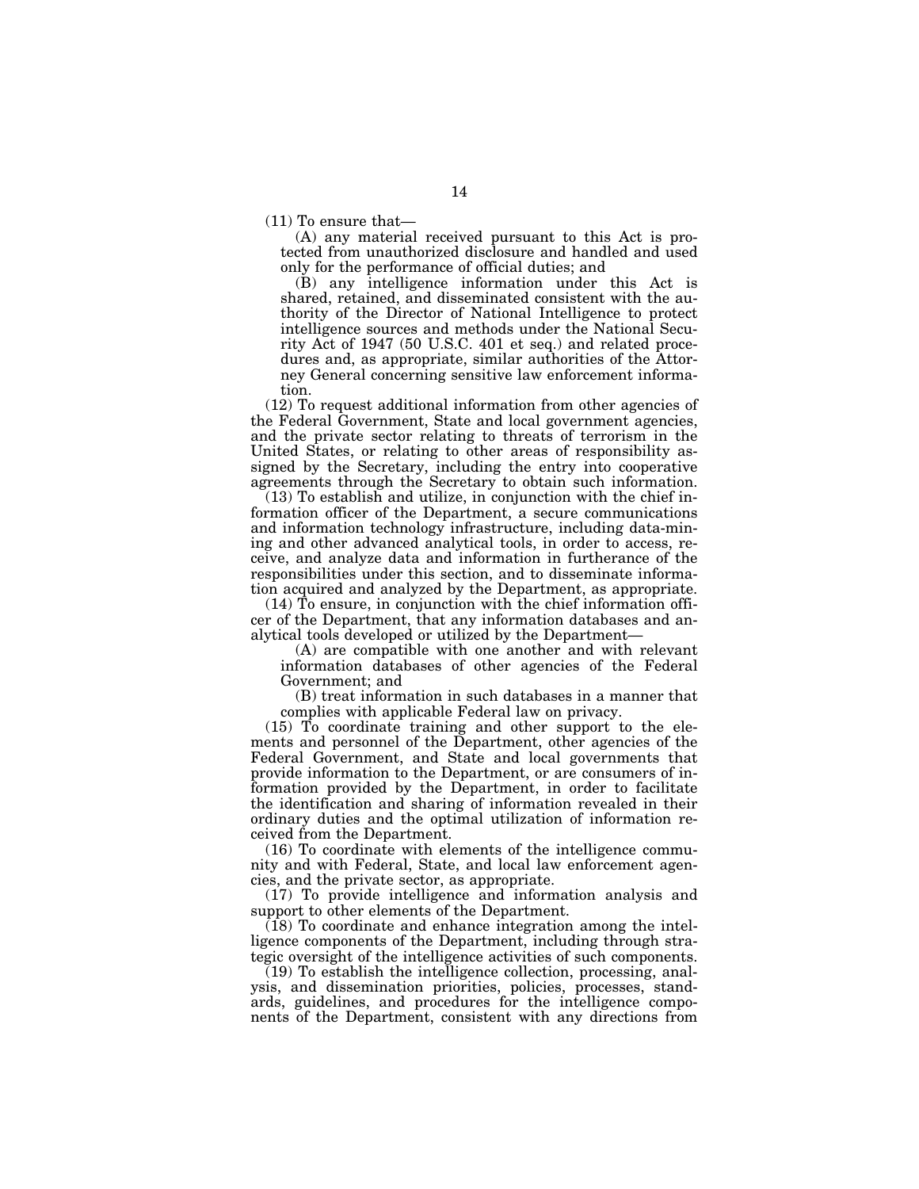(11) To ensure that—

(A) any material received pursuant to this Act is protected from unauthorized disclosure and handled and used only for the performance of official duties; and

(B) any intelligence information under this Act is shared, retained, and disseminated consistent with the authority of the Director of National Intelligence to protect intelligence sources and methods under the National Security Act of 1947 (50 U.S.C. 401 et seq.) and related procedures and, as appropriate, similar authorities of the Attorney General concerning sensitive law enforcement information.

(12) To request additional information from other agencies of the Federal Government, State and local government agencies, and the private sector relating to threats of terrorism in the United States, or relating to other areas of responsibility assigned by the Secretary, including the entry into cooperative agreements through the Secretary to obtain such information.

(13) To establish and utilize, in conjunction with the chief information officer of the Department, a secure communications and information technology infrastructure, including data-mining and other advanced analytical tools, in order to access, receive, and analyze data and information in furtherance of the responsibilities under this section, and to disseminate information acquired and analyzed by the Department, as appropriate.

(14) To ensure, in conjunction with the chief information officer of the Department, that any information databases and analytical tools developed or utilized by the Department—

(A) are compatible with one another and with relevant information databases of other agencies of the Federal Government; and

(B) treat information in such databases in a manner that complies with applicable Federal law on privacy.

(15) To coordinate training and other support to the elements and personnel of the Department, other agencies of the Federal Government, and State and local governments that provide information to the Department, or are consumers of information provided by the Department, in order to facilitate the identification and sharing of information revealed in their ordinary duties and the optimal utilization of information received from the Department.

(16) To coordinate with elements of the intelligence community and with Federal, State, and local law enforcement agencies, and the private sector, as appropriate.

(17) To provide intelligence and information analysis and support to other elements of the Department.

 $(18)$  To coordinate and enhance integration among the intelligence components of the Department, including through strategic oversight of the intelligence activities of such components.

(19) To establish the intelligence collection, processing, analysis, and dissemination priorities, policies, processes, standards, guidelines, and procedures for the intelligence components of the Department, consistent with any directions from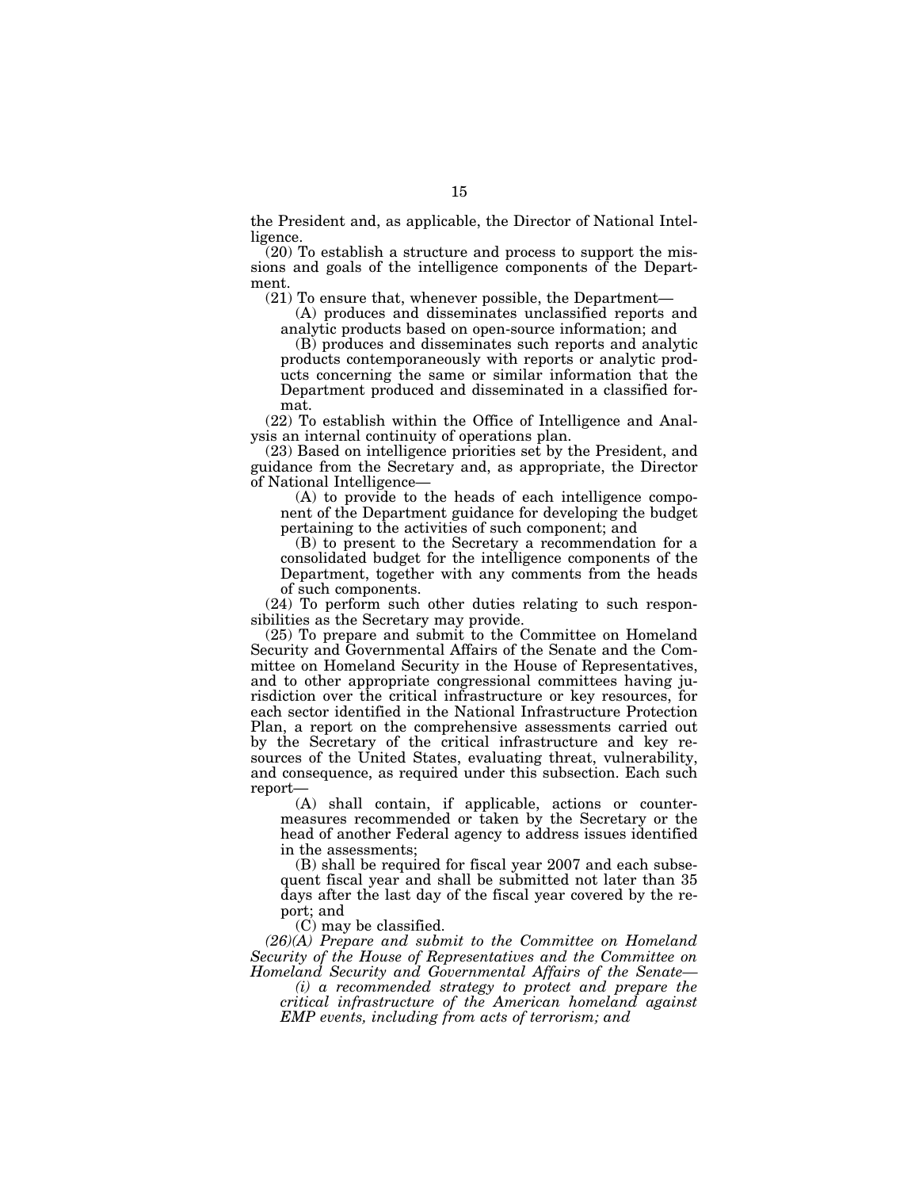the President and, as applicable, the Director of National Intelligence.

(20) To establish a structure and process to support the missions and goals of the intelligence components of the Department.

(21) To ensure that, whenever possible, the Department—

(A) produces and disseminates unclassified reports and analytic products based on open-source information; and

(B) produces and disseminates such reports and analytic products contemporaneously with reports or analytic products concerning the same or similar information that the Department produced and disseminated in a classified format.

(22) To establish within the Office of Intelligence and Analysis an internal continuity of operations plan.

(23) Based on intelligence priorities set by the President, and guidance from the Secretary and, as appropriate, the Director of National Intelligence—

(A) to provide to the heads of each intelligence component of the Department guidance for developing the budget pertaining to the activities of such component; and

(B) to present to the Secretary a recommendation for a consolidated budget for the intelligence components of the Department, together with any comments from the heads of such components.

(24) To perform such other duties relating to such responsibilities as the Secretary may provide.

(25) To prepare and submit to the Committee on Homeland Security and Governmental Affairs of the Senate and the Committee on Homeland Security in the House of Representatives, and to other appropriate congressional committees having jurisdiction over the critical infrastructure or key resources, for each sector identified in the National Infrastructure Protection Plan, a report on the comprehensive assessments carried out by the Secretary of the critical infrastructure and key resources of the United States, evaluating threat, vulnerability, and consequence, as required under this subsection. Each such report—

(A) shall contain, if applicable, actions or countermeasures recommended or taken by the Secretary or the head of another Federal agency to address issues identified in the assessments;

(B) shall be required for fiscal year 2007 and each subsequent fiscal year and shall be submitted not later than 35 days after the last day of the fiscal year covered by the report; and

(C) may be classified.

*(26)(A) Prepare and submit to the Committee on Homeland Security of the House of Representatives and the Committee on Homeland Security and Governmental Affairs of the Senate—* 

*(i) a recommended strategy to protect and prepare the critical infrastructure of the American homeland against EMP events, including from acts of terrorism; and*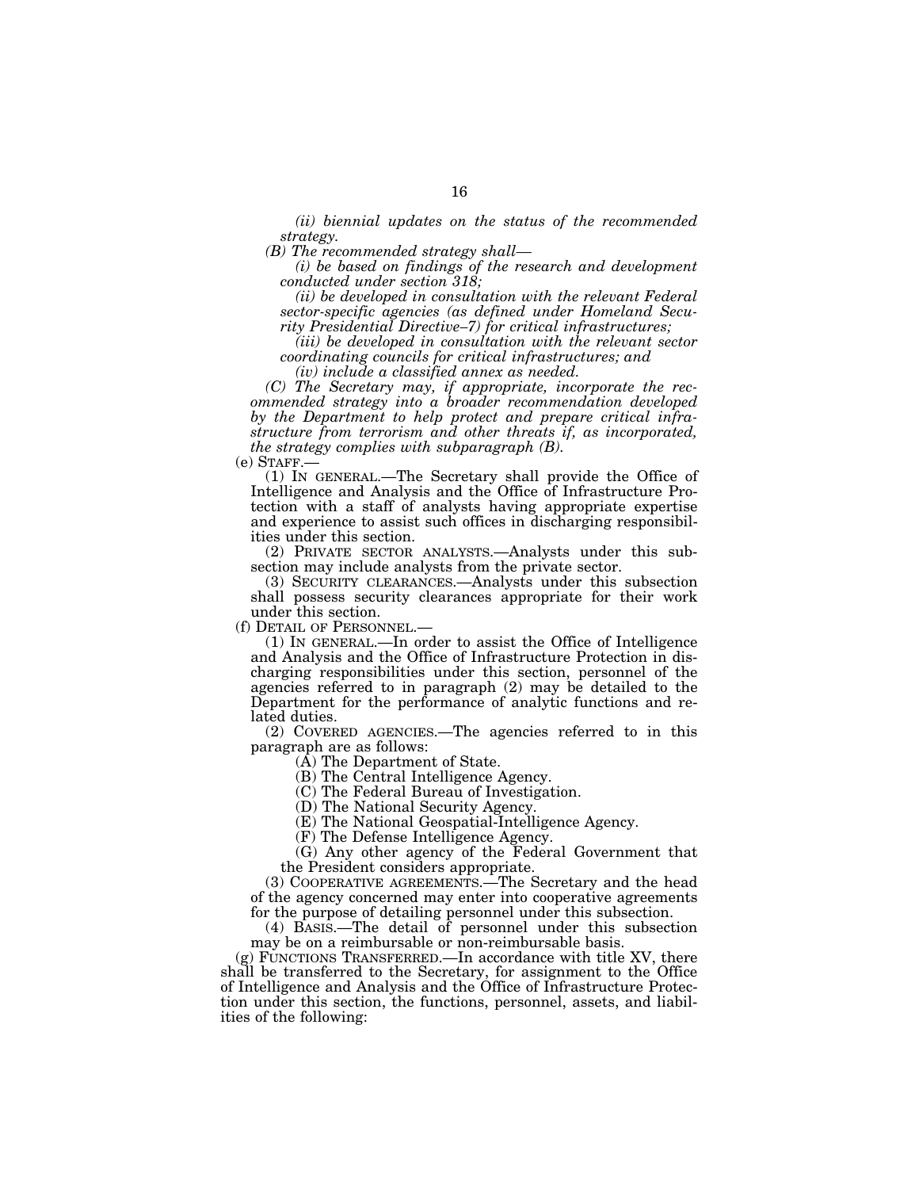*(ii) biennial updates on the status of the recommended strategy.* 

*(B) The recommended strategy shall—* 

*(i) be based on findings of the research and development conducted under section 318;* 

*(ii) be developed in consultation with the relevant Federal sector-specific agencies (as defined under Homeland Security Presidential Directive–7) for critical infrastructures;* 

*(iii) be developed in consultation with the relevant sector coordinating councils for critical infrastructures; and (iv) include a classified annex as needed.* 

*(C) The Secretary may, if appropriate, incorporate the recommended strategy into a broader recommendation developed by the Department to help protect and prepare critical infrastructure from terrorism and other threats if, as incorporated, the strategy complies with subparagraph (B).* 

(e) STAFF.— (1) IN GENERAL.—The Secretary shall provide the Office of Intelligence and Analysis and the Office of Infrastructure Protection with a staff of analysts having appropriate expertise and experience to assist such offices in discharging responsibilities under this section.

(2) PRIVATE SECTOR ANALYSTS.—Analysts under this subsection may include analysts from the private sector.

(3) SECURITY CLEARANCES.—Analysts under this subsection shall possess security clearances appropriate for their work under this section.<br>(f) DETAIL OF PERSONNEL.

 $(1)$  In GENERAL.—In order to assist the Office of Intelligence and Analysis and the Office of Infrastructure Protection in discharging responsibilities under this section, personnel of the agencies referred to in paragraph (2) may be detailed to the Department for the performance of analytic functions and related duties.

(2) COVERED AGENCIES.—The agencies referred to in this paragraph are as follows:

(A) The Department of State.

(B) The Central Intelligence Agency.

(C) The Federal Bureau of Investigation.

(D) The National Security Agency.

(E) The National Geospatial-Intelligence Agency.

(F) The Defense Intelligence Agency.

(G) Any other agency of the Federal Government that the President considers appropriate.

(3) COOPERATIVE AGREEMENTS.—The Secretary and the head of the agency concerned may enter into cooperative agreements for the purpose of detailing personnel under this subsection.

(4) BASIS.—The detail of personnel under this subsection may be on a reimbursable or non-reimbursable basis.

(g) FUNCTIONS TRANSFERRED.—In accordance with title XV, there shall be transferred to the Secretary, for assignment to the Office of Intelligence and Analysis and the Office of Infrastructure Protection under this section, the functions, personnel, assets, and liabilities of the following: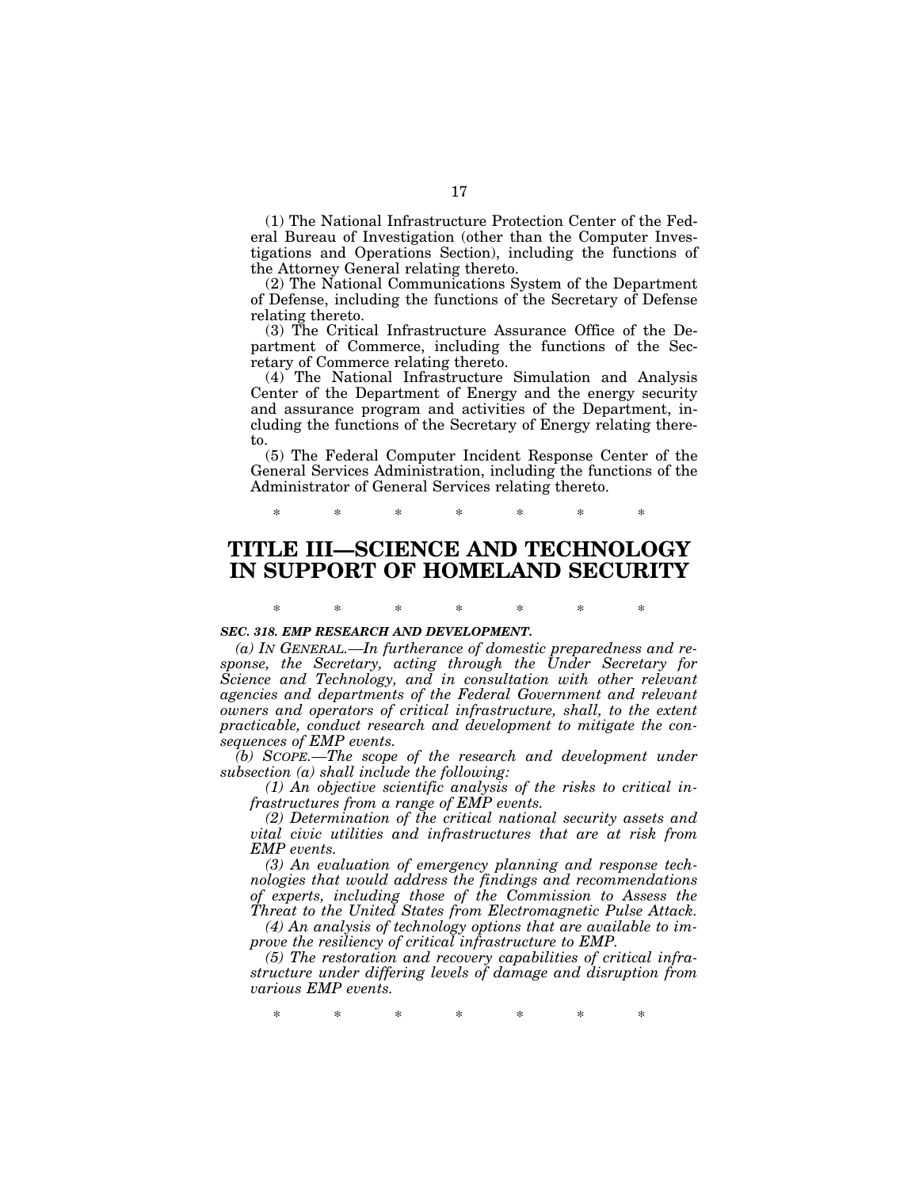(1) The National Infrastructure Protection Center of the Federal Bureau of Investigation (other than the Computer Investigations and Operations Section), including the functions of the Attorney General relating thereto.

(2) The National Communications System of the Department of Defense, including the functions of the Secretary of Defense relating thereto.

(3) The Critical Infrastructure Assurance Office of the Department of Commerce, including the functions of the Secretary of Commerce relating thereto.

(4) The National Infrastructure Simulation and Analysis Center of the Department of Energy and the energy security and assurance program and activities of the Department, including the functions of the Secretary of Energy relating thereto.

(5) The Federal Computer Incident Response Center of the General Services Administration, including the functions of the Administrator of General Services relating thereto.

\* \* \* \* \* \* \*

# **TITLE III—SCIENCE AND TECHNOLOGY IN SUPPORT OF HOMELAND SECURITY**

\* \* \* \* \* \* \*

#### *SEC. 318. EMP RESEARCH AND DEVELOPMENT.*

*(a) IN GENERAL.—In furtherance of domestic preparedness and response, the Secretary, acting through the Under Secretary for Science and Technology, and in consultation with other relevant agencies and departments of the Federal Government and relevant owners and operators of critical infrastructure, shall, to the extent practicable, conduct research and development to mitigate the consequences of EMP events.* 

*(b) SCOPE.—The scope of the research and development under subsection (a) shall include the following:* 

*(1) An objective scientific analysis of the risks to critical infrastructures from a range of EMP events.* 

*(2) Determination of the critical national security assets and vital civic utilities and infrastructures that are at risk from EMP events.* 

*(3) An evaluation of emergency planning and response technologies that would address the findings and recommendations of experts, including those of the Commission to Assess the Threat to the United States from Electromagnetic Pulse Attack.* 

*(4) An analysis of technology options that are available to improve the resiliency of critical infrastructure to EMP.* 

*(5) The restoration and recovery capabilities of critical infrastructure under differing levels of damage and disruption from various EMP events.* 

\* \* \* \* \* \* \*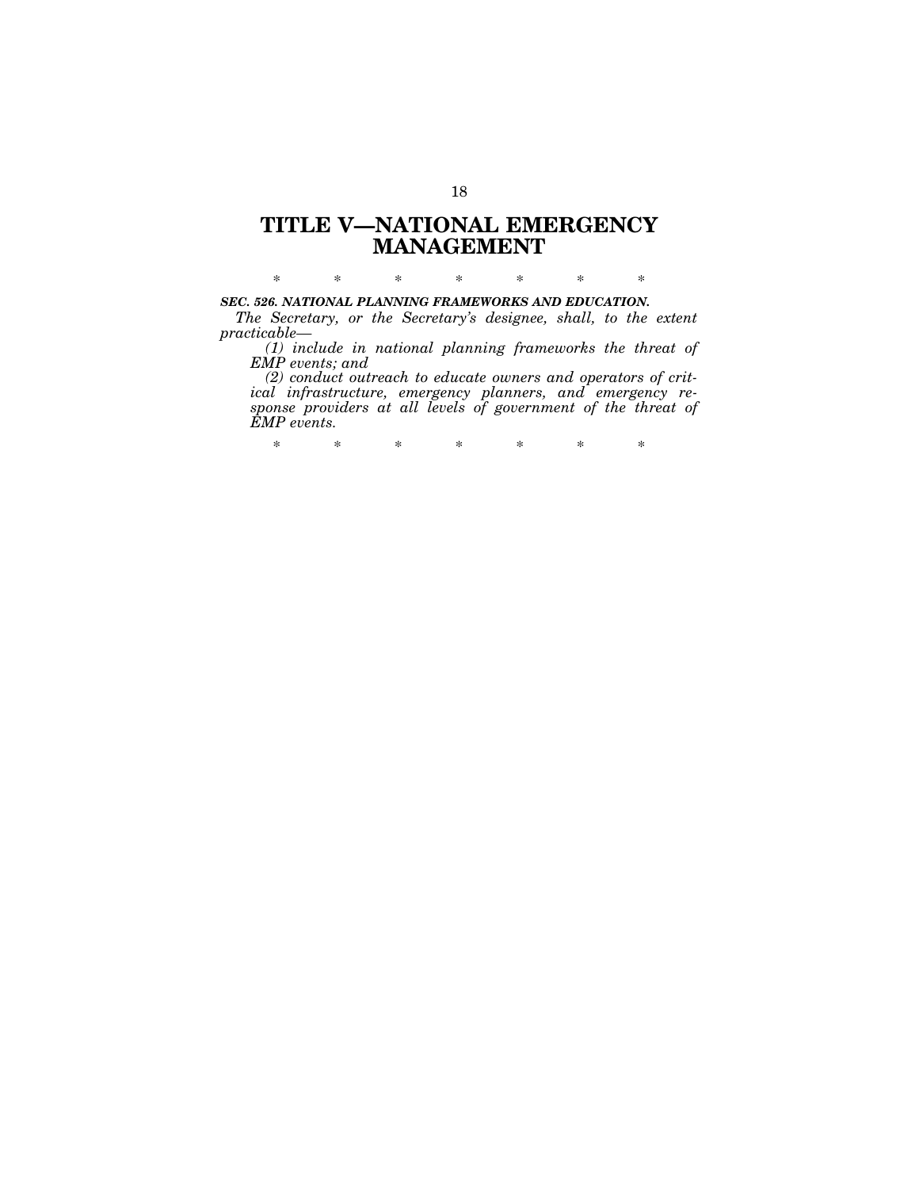# **TITLE V—NATIONAL EMERGENCY MANAGEMENT**

\* \* \* \* \* \* \*

# *SEC. 526. NATIONAL PLANNING FRAMEWORKS AND EDUCATION.*

*The Secretary, or the Secretary's designee, shall, to the extent practicable—* 

*(1) include in national planning frameworks the threat of EMP events; and* 

*(2) conduct outreach to educate owners and operators of critical infrastructure, emergency planners, and emergency response providers at all levels of government of the threat of EMP events.* 

\* \* \* \* \* \* \*